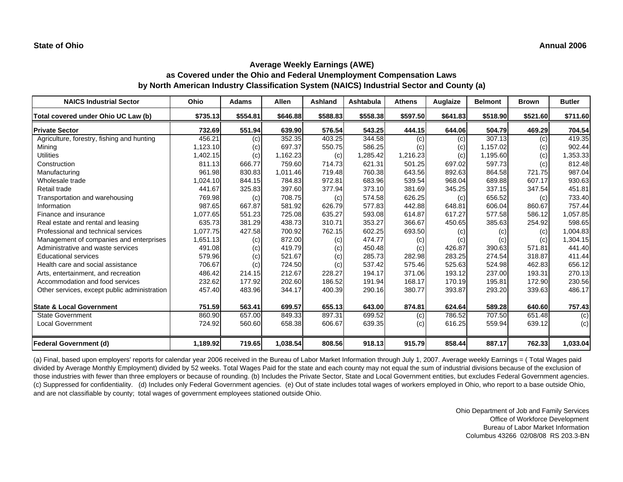| <b>NAICS Industrial Sector</b>               | Ohio     | <b>Adams</b> | Allen    | Ashland  | <b>Ashtabula</b> | <b>Athens</b> | Auglaize | <b>Belmont</b> | <b>Brown</b> | <b>Butler</b> |
|----------------------------------------------|----------|--------------|----------|----------|------------------|---------------|----------|----------------|--------------|---------------|
| Total covered under Ohio UC Law (b)          | \$735.13 | \$554.81     | \$646.88 | \$588.83 | \$558.38         | \$597.50      | \$641.83 | \$518.90       | \$521.60     | \$711.60      |
| <b>Private Sector</b>                        | 732.69   | 551.94       | 639.90   | 576.54   | 543.25           | 444.15        | 644.06   | 504.79         | 469.29       | 704.54        |
| Agriculture, forestry, fishing and hunting   | 456.21   | (c)          | 352.35   | 403.25   | 344.58           | (c)           | (c)      | 307.13         | (c)          | 419.35        |
| Mining                                       | 1,123.10 | (c)          | 697.37   | 550.75   | 586.25           | (c)           | (c)      | 1,157.02       | (c)          | 902.44        |
| <b>Utilities</b>                             | 1,402.15 | (c)          | 1,162.23 | (c)      | 1,285.42         | 1,216.23      | (c)      | 1,195.60       | (c)          | 1,353.33      |
| Construction                                 | 811.13   | 666.77       | 759.60   | 714.73   | 621.31           | 501.25        | 697.02   | 597.73         | (c)          | 812.48        |
| Manufacturing                                | 961.98   | 830.83       | 1,011.46 | 719.48   | 760.38           | 643.56        | 892.63   | 864.58         | 721.75       | 987.04        |
| Wholesale trade                              | 1,024.10 | 844.15       | 784.83   | 972.81   | 683.96           | 539.54        | 968.04   | 689.88         | 607.17       | 930.63        |
| Retail trade                                 | 441.67   | 325.83       | 397.60   | 377.94   | 373.10           | 381.69        | 345.25   | 337.15         | 347.54       | 451.81        |
| Transportation and warehousing               | 769.98   | (c)          | 708.75   | (c)      | 574.58           | 626.25        | (c)      | 656.52         | (c)          | 733.40        |
| Information                                  | 987.65   | 667.87       | 581.92   | 626.79   | 577.83           | 442.88        | 648.81   | 606.04         | 860.67       | 757.44        |
| Finance and insurance                        | 1,077.65 | 551.23       | 725.08   | 635.27   | 593.08           | 614.87        | 617.27   | 577.58         | 586.12       | 1,057.85      |
| Real estate and rental and leasing           | 635.73   | 381.29       | 438.73   | 310.71   | 353.27           | 366.67        | 450.65   | 385.63         | 254.92       | 598.65        |
| Professional and technical services          | 1,077.75 | 427.58       | 700.92   | 762.15   | 602.25           | 693.50        | (c)      | (c)            | (c)          | 1,004.83      |
| Management of companies and enterprises      | 1,651.13 | (c)          | 872.00   | (c)      | 474.77           | (c)           | (c)      | (c)            | (c)          | 1,304.15      |
| Administrative and waste services            | 491.08   | (c)          | 419.79   | (c)      | 450.48           | (c)           | 426.87   | 390.63         | 571.81       | 441.40        |
| <b>Educational services</b>                  | 579.96   | (c)          | 521.67   | (c)      | 285.73           | 282.98        | 283.25   | 274.54         | 318.87       | 411.44        |
| Health care and social assistance            | 706.67   | (c)          | 724.50   | (c)      | 537.42           | 575.46        | 525.63   | 524.98         | 462.83       | 656.12        |
| Arts, entertainment, and recreation          | 486.42   | 214.15       | 212.67   | 228.27   | 194.17           | 371.06        | 193.12   | 237.00         | 193.31       | 270.13        |
| Accommodation and food services              | 232.62   | 177.92       | 202.60   | 186.52   | 191.94           | 168.17        | 170.19   | 195.81         | 172.90       | 230.56        |
| Other services, except public administration | 457.40   | 483.96       | 344.17   | 400.39   | 290.16           | 380.77        | 393.87   | 293.20         | 339.63       | 486.17        |
| <b>State &amp; Local Government</b>          | 751.59   | 563.41       | 699.57   | 655.13   | 643.00           | 874.81        | 624.64   | 589.28         | 640.60       | 757.43        |
| <b>State Government</b>                      | 860.90   | 657.00       | 849.33   | 897.31   | 699.52           | (c)           | 786.52   | 707.50         | 651.48       | (c)           |
| <b>Local Government</b>                      | 724.92   | 560.60       | 658.38   | 606.67   | 639.35           | (c)           | 616.25   | 559.94         | 639.12       | (c)           |
| <b>Federal Government (d)</b>                | 1,189.92 | 719.65       | 1,038.54 | 808.56   | 918.13           | 915.79        | 858.44   | 887.17         | 762.33       | 1,033.04      |

(a) Final, based upon employers' reports for calendar year 2006 received in the Bureau of Labor Market Information through July 1, 2007. Average weekly Earnings = ( Total Wages paid divided by Average Monthly Employment) divided by 52 weeks. Total Wages Paid for the state and each county may not equal the sum of industrial divisions because of the exclusion of those industries with fewer than three employers or because of rounding. (b) Includes the Private Sector, State and Local Government entities, but excludes Federal Government agencies. (c) Suppressed for confidentiality. (d) Includes only Federal Government agencies. (e) Out of state includes total wages of workers employed in Ohio, who report to a base outside Ohio, and are not classifiable by county; total wages of government employees stationed outside Ohio.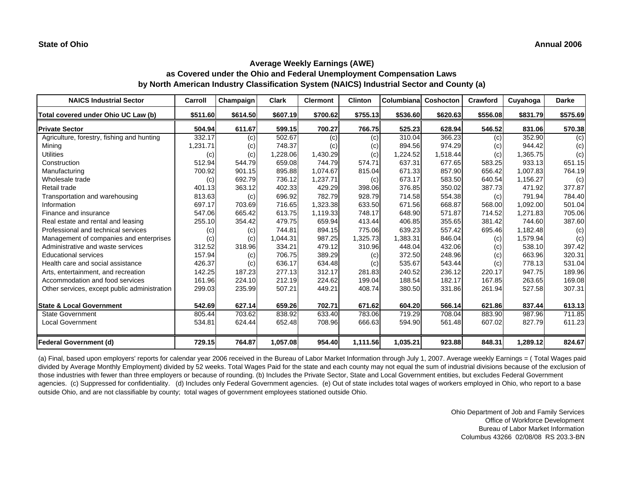| <b>NAICS Industrial Sector</b>               | Carroll  | Champaign | <b>Clark</b> | <b>Clermont</b> | <b>Clinton</b> | Columbiana | Coshocton | Crawford | Cuyahoga | <b>Darke</b> |
|----------------------------------------------|----------|-----------|--------------|-----------------|----------------|------------|-----------|----------|----------|--------------|
| Total covered under Ohio UC Law (b)          | \$511.60 | \$614.50  | \$607.19     | \$700.62        | \$755.13       | \$536.60   | \$620.63  | \$556.08 | \$831.79 | \$575.69     |
| <b>Private Sector</b>                        | 504.94   | 611.67    | 599.15       | 700.27          | 766.75         | 525.23     | 628.94    | 546.52   | 831.06   | 570.38       |
| Agriculture, forestry, fishing and hunting   | 332.17   | (c)       | 502.67       | (c)             | (c)            | 310.04     | 366.23    | (c)      | 352.90   | (c)          |
| Mining                                       | 1,231.71 | (c)       | 748.37       | (c)             | (c)            | 894.56     | 974.29    | (c)      | 944.42   | (c)          |
| <b>Utilities</b>                             | (c)      | (c)       | 1,228.06     | 1,430.29        | (c)            | 1,224.52   | 1,518.44  | (c)      | 1,365.75 | (c)          |
| Construction                                 | 512.94   | 544.79    | 659.08       | 744.79          | 574.71         | 637.31     | 677.65    | 583.25   | 933.13   | 651.15       |
| Manufacturing                                | 700.92   | 901.15    | 895.88       | 1,074.67        | 815.04         | 671.33     | 857.90    | 656.42   | 1,007.83 | 764.19       |
| Wholesale trade                              | (c)      | 692.79    | 736.12       | 1,237.71        | (c)            | 673.17     | 583.50    | 640.54   | 1,156.27 | (c)          |
| Retail trade                                 | 401.13   | 363.12    | 402.33       | 429.29          | 398.06         | 376.85     | 350.02    | 387.73   | 471.92   | 377.87       |
| Transportation and warehousing               | 813.63   | (c)       | 696.92       | 782.79          | 928.79         | 714.58     | 554.38    | (c)      | 791.94   | 784.40       |
| Information                                  | 697.17   | 703.69    | 716.65       | 1,323.38        | 633.50         | 671.56     | 668.87    | 568.00   | 1.092.00 | 501.04       |
| Finance and insurance                        | 547.06   | 665.42    | 613.75       | 1,119.33        | 748.17         | 648.90     | 571.87    | 714.52   | 1,271.83 | 705.06       |
| Real estate and rental and leasing           | 255.10   | 354.42    | 479.75       | 659.94          | 413.44         | 406.85     | 355.65    | 381.42   | 744.60   | 387.60       |
| Professional and technical services          | (c)      | (c)       | 744.81       | 894.15          | 775.06         | 639.23     | 557.42    | 695.46   | 1,182.48 | (c)          |
| Management of companies and enterprises      | (c)      | (c)       | 1,044.31     | 987.25          | 1,325.73       | 1,383.31   | 846.04    | (c)      | 1,579.94 | (c)          |
| Administrative and waste services            | 312.52   | 318.96    | 334.21       | 479.12          | 310.96         | 448.04     | 432.06    | (c)      | 538.10   | 397.42       |
| <b>Educational services</b>                  | 157.94   | (c)       | 706.75       | 389.29          | (c)            | 372.50     | 248.96    | (c)      | 663.96   | 320.31       |
| Health care and social assistance            | 426.37   | (c)       | 636.17       | 634.48          | (c)            | 535.67     | 543.44    | (c)      | 778.13   | 531.04       |
| Arts, entertainment, and recreation          | 142.25   | 187.23    | 277.13       | 312.17          | 281.83         | 240.52     | 236.12    | 220.17   | 947.75   | 189.96       |
| Accommodation and food services              | 161.96   | 224.10    | 212.19       | 224.62          | 199.04         | 188.54     | 182.17    | 167.85   | 263.65   | 169.08       |
| Other services, except public administration | 299.03   | 235.99    | 507.21       | 449.21          | 408.74         | 380.50     | 331.86    | 261.94   | 527.58   | 307.31       |
| <b>State &amp; Local Government</b>          | 542.69   | 627.14    | 659.26       | 702.71          | 671.62         | 604.20     | 566.14    | 621.86   | 837.44   | 613.13       |
| <b>State Government</b>                      | 805.44   | 703.62    | 838.92       | 633.40          | 783.06         | 719.29     | 708.04    | 883.90   | 987.96   | 711.85       |
| <b>Local Government</b>                      | 534.81   | 624.44    | 652.48       | 708.96          | 666.63         | 594.90     | 561.48    | 607.02   | 827.79   | 611.23       |
| <b>Federal Government (d)</b>                | 729.15   | 764.87    | 1,057.08     | 954.40          | 1,111.56       | 1,035.21   | 923.88    | 848.31   | 1,289.12 | 824.67       |

(a) Final, based upon employers' reports for calendar year 2006 received in the Bureau of Labor Market Information through July 1, 2007. Average weekly Earnings = ( Total Wages paid divided by Average Monthly Employment) divided by 52 weeks. Total Wages Paid for the state and each county may not equal the sum of industrial divisions because of the exclusion of those industries with fewer than three employers or because of rounding. (b) Includes the Private Sector, State and Local Government entities, but excludes Federal Government agencies. (c) Suppressed for confidentiality. (d) Includes only Federal Government agencies. (e) Out of state includes total wages of workers employed in Ohio, who report to a base outside Ohio, and are not classifiable by county; total wages of government employees stationed outside Ohio.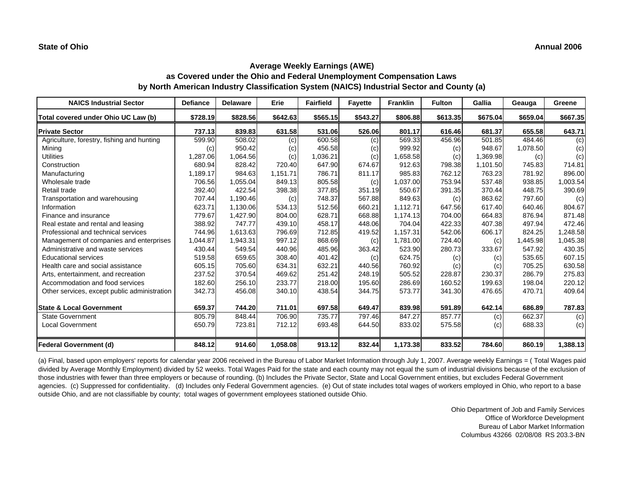| <b>NAICS Industrial Sector</b>               | <b>Defiance</b> | <b>Delaware</b> | Erie     | <b>Fairfield</b> | <b>Fayette</b> | <b>Franklin</b> | <b>Fulton</b> | Gallia   | Geauga   | Greene   |
|----------------------------------------------|-----------------|-----------------|----------|------------------|----------------|-----------------|---------------|----------|----------|----------|
| Total covered under Ohio UC Law (b)          | \$728.19        | \$828.56        | \$642.63 | \$565.15         | \$543.27       | \$806.88        | \$613.35      | \$675.04 | \$659.04 | \$667.35 |
| <b>Private Sector</b>                        | 737.13          | 839.83          | 631.58   | 531.06           | 526.06         | 801.17          | 616.46        | 681.37   | 655.58   | 643.71   |
| Agriculture, forestry, fishing and hunting   | 599.90          | 508.02          | (c)      | 600.58           | (c)            | 569.33          | 456.96        | 501.85   | 484.46   | (c)      |
| Mining                                       | (c)             | 950.42          | (c)      | 456.58           | (c)            | 999.92          | (c)           | 948.67   | 1,078.50 | (c)      |
| <b>Utilities</b>                             | 1,287.06        | 1,064.56        | (c)      | 1,036.21         | (c)            | 1,658.58        | (c)           | 1,369.98 | (c)      | (c)      |
| Construction                                 | 680.94          | 828.42          | 720.40   | 647.90           | 674.67         | 912.63          | 798.38        | 1,101.50 | 745.83   | 714.81   |
| Manufacturing                                | 1,189.17        | 984.63          | 1,151.71 | 786.71           | 811.17         | 985.83          | 762.12        | 763.23   | 781.92   | 896.00   |
| Wholesale trade                              | 706.56          | 1,055.04        | 849.13   | 805.58           | (c)            | 1,037.00        | 753.94        | 537.48   | 938.85   | 1,003.54 |
| Retail trade                                 | 392.40          | 422.54          | 398.38   | 377.85           | 351.19         | 550.67          | 391.35        | 370.44   | 448.75   | 390.69   |
| Transportation and warehousing               | 707.44          | 1,190.46        | (c)      | 748.37           | 567.88         | 849.63          | (c)           | 863.62   | 797.60   | (c)      |
| Information                                  | 623.71          | 1,130.06        | 534.13   | 512.56           | 660.21         | 1,112.71        | 647.56        | 617.40   | 640.46   | 804.67   |
| Finance and insurance                        | 779.67          | 1,427.90        | 804.00   | 628.71           | 668.88         | 1,174.13        | 704.00        | 664.83   | 876.94   | 871.48   |
| Real estate and rental and leasing           | 388.92          | 747.77          | 439.10   | 458.17           | 448.06         | 704.04          | 422.33        | 407.38   | 497.94   | 472.46   |
| Professional and technical services          | 744.96          | 1,613.63        | 796.69   | 712.85           | 419.52         | 1,157.31        | 542.06        | 606.17   | 824.25   | 1,248.58 |
| Management of companies and enterprises      | 1,044.87        | 1,943.31        | 997.12   | 868.69           | (c)            | 1,781.00        | 724.40        | (c)      | 1,445.98 | 1,045.38 |
| Administrative and waste services            | 430.44          | 549.54          | 440.96   | 485.96           | 363.42         | 523.90          | 280.73        | 333.67   | 547.92   | 430.35   |
| <b>Educational services</b>                  | 519.58          | 659.65          | 308.40   | 401.42           | (c)            | 624.75          | (c)           | (c)      | 535.65   | 607.15   |
| Health care and social assistance            | 605.15          | 705.60          | 634.31   | 632.21           | 440.56         | 760.92          | (c)           | (c)      | 705.25   | 630.58   |
| Arts, entertainment, and recreation          | 237.52          | 370.54          | 469.62   | 251.42           | 248.19         | 505.52          | 228.87        | 230.37   | 286.79   | 275.83   |
| Accommodation and food services              | 182.60          | 256.10          | 233.77   | 218.00           | 195.60         | 286.69          | 160.52        | 199.63   | 198.04   | 220.12   |
| Other services, except public administration | 342.73          | 456.08          | 340.10   | 438.54           | 344.75         | 573.77          | 341.30        | 476.65   | 470.71   | 409.64   |
| <b>State &amp; Local Government</b>          | 659.37          | 744.20          | 711.01   | 697.58           | 649.47         | 839.98          | 591.89        | 642.14   | 686.89   | 787.83   |
| <b>State Government</b>                      | 805.79          | 848.44          | 706.90   | 735.77           | 797.46         | 847.27          | 857.77        | (c)      | 662.37   | (c)      |
| <b>Local Government</b>                      | 650.79          | 723.81          | 712.12   | 693.48           | 644.50         | 833.02          | 575.58        | (c)      | 688.33   | (c)      |
| <b>Federal Government (d)</b>                | 848.12          | 914.60          | 1,058.08 | 913.12           | 832.44         | 1,173.38        | 833.52        | 784.60   | 860.19   | 1,388.13 |

(a) Final, based upon employers' reports for calendar year 2006 received in the Bureau of Labor Market Information through July 1, 2007. Average weekly Earnings = ( Total Wages paid divided by Average Monthly Employment) divided by 52 weeks. Total Wages Paid for the state and each county may not equal the sum of industrial divisions because of the exclusion of those industries with fewer than three employers or because of rounding. (b) Includes the Private Sector, State and Local Government entities, but excludes Federal Government agencies. (c) Suppressed for confidentiality. (d) Includes only Federal Government agencies. (e) Out of state includes total wages of workers employed in Ohio, who report to a base outside Ohio, and are not classifiable by county; total wages of government employees stationed outside Ohio.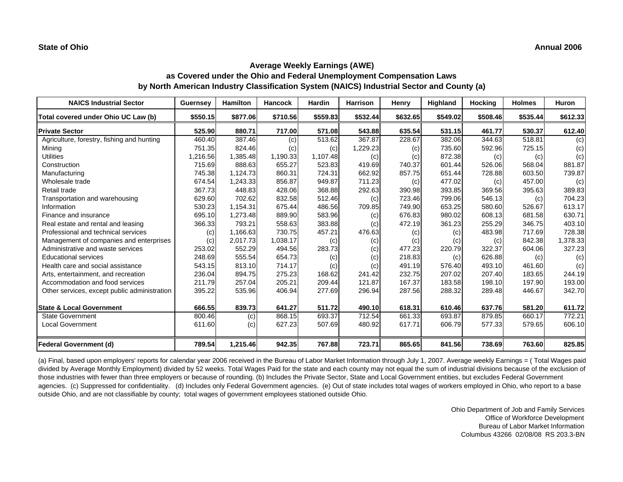| <b>NAICS Industrial Sector</b>               | <b>Guernsey</b> | Hamilton | <b>Hancock</b> | <b>Hardin</b> | <b>Harrison</b> | Henry    | Highland | Hocking  | <b>Holmes</b> | <b>Huron</b> |
|----------------------------------------------|-----------------|----------|----------------|---------------|-----------------|----------|----------|----------|---------------|--------------|
| Total covered under Ohio UC Law (b)          | \$550.15        | \$877.06 | \$710.56       | \$559.83      | \$532.44        | \$632.65 | \$549.02 | \$508.46 | \$535.44      | \$612.33     |
| <b>Private Sector</b>                        | 525.90          | 880.71   | 717.00         | 571.08        | 543.88          | 635.54   | 531.15   | 461.77   | 530.37        | 612.40       |
| Agriculture, forestry, fishing and hunting   | 460.40          | 387.46   | (c)            | 513.62        | 367.87          | 228.67   | 382.06   | 344.63   | 518.81        | (c)          |
| Mining                                       | 751.35          | 824.46   | (c)            | (c)           | 1,229.23        | (c)      | 735.60   | 592.96   | 725.15        | (c)          |
| <b>Utilities</b>                             | 1,216.56        | 1,385.48 | 1,190.33       | 1,107.48      | (c)             | (c)      | 872.38   | (c)      | (c)           | (c)          |
| Construction                                 | 715.69          | 888.63   | 655.27         | 523.83        | 419.69          | 740.37   | 601.44   | 526.06   | 568.04        | 881.87       |
| Manufacturing                                | 745.38          | 1,124.73 | 860.31         | 724.31        | 662.92          | 857.75   | 651.44   | 728.88   | 603.50        | 739.87       |
| Wholesale trade                              | 674.54          | 1,243.33 | 856.87         | 949.87        | 711.23          | (c)      | 477.02   | (c)      | 457.00        | (c)          |
| Retail trade                                 | 367.73          | 448.83   | 428.06         | 368.88        | 292.63          | 390.98   | 393.85   | 369.56   | 395.63        | 389.83       |
| Transportation and warehousing               | 629.60          | 702.62   | 832.58         | 512.46        | (c)             | 723.46   | 799.06   | 546.13   | (c)           | 704.23       |
| Information                                  | 530.23          | 1.154.31 | 675.44         | 486.56        | 709.85          | 749.90   | 653.25   | 580.60   | 526.67        | 613.17       |
| Finance and insurance                        | 695.10          | 1,273.48 | 889.90         | 583.96        | (c)             | 676.83   | 980.02   | 608.13   | 681.58        | 630.71       |
| Real estate and rental and leasing           | 366.33          | 793.21   | 558.63         | 383.88        | (c)             | 472.19   | 361.23   | 255.29   | 346.75        | 403.10       |
| Professional and technical services          | (c)             | 1,166.63 | 730.75         | 457.21        | 476.63          | (c)      | (c)      | 483.98   | 717.69        | 728.38       |
| Management of companies and enterprises      | (c)             | 2,017.73 | 1,038.17       | (c)           | (c)             | (c)      | (c)      | (c)      | 842.38        | 1,378.33     |
| Administrative and waste services            | 253.02          | 552.29   | 494.56         | 283.73        | (c)             | 477.23   | 220.79   | 322.37   | 604.06        | 327.23       |
| <b>Educational services</b>                  | 248.69          | 555.54   | 654.73         | (c)           | (c)             | 218.83   | (c)      | 626.88   | (c)           | (c)          |
| Health care and social assistance            | 543.15          | 813.10   | 714.17         | (c)           | (c)             | 491.19   | 576.40   | 493.10   | 461.60        | (c)          |
| Arts, entertainment, and recreation          | 236.04          | 894.75   | 275.23         | 168.62        | 241.42          | 232.75   | 207.02   | 207.40   | 183.65        | 244.19       |
| Accommodation and food services              | 211.79          | 257.04   | 205.21         | 209.44        | 121.87          | 167.37   | 183.58   | 198.10   | 197.90        | 193.00       |
| Other services, except public administration | 395.22          | 535.96   | 406.94         | 277.69        | 296.94          | 287.56   | 288.32   | 289.48   | 446.67        | 342.70       |
| <b>State &amp; Local Government</b>          | 666.55          | 839.73   | 641.27         | 511.72        | 490.10          | 618.31   | 610.46   | 637.76   | 581.20        | 611.72       |
| <b>State Government</b>                      | 800.46          | (c)      | 868.15         | 693.37        | 712.54          | 661.33   | 693.87   | 879.85   | 660.17        | 772.21       |
| <b>Local Government</b>                      | 611.60          | (c)      | 627.23         | 507.69        | 480.92          | 617.71   | 606.79   | 577.33   | 579.65        | 606.10       |
| <b>Federal Government (d)</b>                | 789.54          | 1,215.46 | 942.35         | 767.88        | 723.71          | 865.65   | 841.56   | 738.69   | 763.60        | 825.85       |

(a) Final, based upon employers' reports for calendar year 2006 received in the Bureau of Labor Market Information through July 1, 2007. Average weekly Earnings = ( Total Wages paid divided by Average Monthly Employment) divided by 52 weeks. Total Wages Paid for the state and each county may not equal the sum of industrial divisions because of the exclusion of those industries with fewer than three employers or because of rounding. (b) Includes the Private Sector, State and Local Government entities, but excludes Federal Government agencies. (c) Suppressed for confidentiality. (d) Includes only Federal Government agencies. (e) Out of state includes total wages of workers employed in Ohio, who report to a base outside Ohio, and are not classifiable by county; total wages of government employees stationed outside Ohio.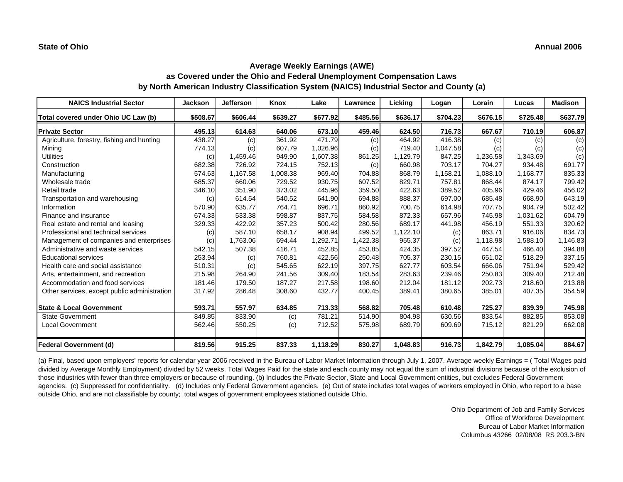| <b>NAICS Industrial Sector</b>               | <b>Jackson</b> | <b>Jefferson</b> | Knox     | Lake     | Lawrence | Licking  | Logan    | Lorain   | Lucas    | <b>Madison</b> |
|----------------------------------------------|----------------|------------------|----------|----------|----------|----------|----------|----------|----------|----------------|
| Total covered under Ohio UC Law (b)          | \$508.67       | \$606.44         | \$639.27 | \$677.92 | \$485.56 | \$636.17 | \$704.23 | \$676.15 | \$725.48 | \$637.79       |
| <b>Private Sector</b>                        | 495.13         | 614.63           | 640.06   | 673.10   | 459.46   | 624.50   | 716.73   | 667.67   | 710.19   | 606.87         |
| Agriculture, forestry, fishing and hunting   | 438.27         | (c)              | 361.92   | 471.79   | (c)      | 464.92   | 416.38   | (c)      | (c)      | (c)            |
| Mining                                       | 774.13         | (c)              | 607.79   | 1,026.96 | (c)      | 719.40   | 1,047.58 | (c)      | (c)      | (c)            |
| <b>Utilities</b>                             | (c)            | 1,459.46         | 949.90   | 1,607.38 | 861.25   | 1,129.79 | 847.25   | 1,236.58 | 1,343.69 | (c)            |
| Construction                                 | 682.38         | 726.92           | 724.15   | 752.13   | (c)      | 660.98   | 703.17   | 704.27   | 934.48   | 691.77         |
| Manufacturing                                | 574.63         | 1.167.58         | 1.008.38 | 969.40   | 704.88   | 868.79   | 1,158.21 | 1.088.10 | 1,168.77 | 835.33         |
| Wholesale trade                              | 685.37         | 660.06           | 729.52   | 930.75   | 607.52   | 829.71   | 757.81   | 868.44   | 874.17   | 799.42         |
| Retail trade                                 | 346.10         | 351.90           | 373.02   | 445.96   | 359.50   | 422.63   | 389.52   | 405.96   | 429.46   | 456.02         |
| Transportation and warehousing               | (c)            | 614.54           | 540.52   | 641.90   | 694.88   | 888.37   | 697.00   | 685.48   | 668.90   | 643.19         |
| Information                                  | 570.90         | 635.77           | 764.71   | 696.71   | 860.92   | 700.75   | 614.98   | 707.75   | 904.79   | 502.42         |
| Finance and insurance                        | 674.33         | 533.38           | 598.87   | 837.75   | 584.58   | 872.33   | 657.96   | 745.98   | 1,031.62 | 604.79         |
| Real estate and rental and leasing           | 329.33         | 422.92           | 357.23   | 500.42   | 280.56   | 689.17   | 441.98   | 456.19   | 551.33   | 320.62         |
| Professional and technical services          | (c)            | 587.10           | 658.17   | 908.94   | 499.52   | 1,122.10 | (c)      | 863.71   | 916.06   | 834.73         |
| Management of companies and enterprises      | (c)            | 1,763.06         | 694.44   | 1,292.71 | 1,422.38 | 955.37   | (c)      | 1,118.98 | 1,588.10 | 1,146.83       |
| Administrative and waste services            | 542.15         | 507.38           | 416.71   | 452.85   | 453.85   | 424.35   | 397.52   | 447.54   | 466.40   | 394.88         |
| <b>Educational services</b>                  | 253.94         | (c)              | 760.81   | 422.56   | 250.48   | 705.37   | 230.15   | 651.02   | 518.29   | 337.15         |
| Health care and social assistance            | 510.31         | (c)              | 545.65   | 622.19   | 397.75   | 627.77   | 603.54   | 666.06   | 751.94   | 529.42         |
| Arts, entertainment, and recreation          | 215.98         | 264.90           | 241.56   | 309.40   | 183.54   | 283.63   | 239.46   | 250.83   | 309.40   | 212.48         |
| Accommodation and food services              | 181.46         | 179.50           | 187.27   | 217.58   | 198.60   | 212.04   | 181.12   | 202.73   | 218.60   | 213.88         |
| Other services, except public administration | 317.92         | 286.48           | 308.60   | 432.77   | 400.45   | 389.41   | 380.65   | 385.01   | 407.35   | 354.59         |
| <b>State &amp; Local Government</b>          | 593.71         | 557.97           | 634.85   | 713.33   | 568.82   | 705.48   | 610.48   | 725.27   | 839.39   | 745.98         |
| State Government                             | 849.85         | 833.90           | (c)      | 781.21   | 514.90   | 804.98   | 630.56   | 833.54   | 882.85   | 853.08         |
| <b>Local Government</b>                      | 562.46         | 550.25           | (c)      | 712.52   | 575.98   | 689.79   | 609.69   | 715.12   | 821.29   | 662.08         |
| <b>Federal Government (d)</b>                | 819.56         | 915.25           | 837.33   | 1,118.29 | 830.27   | 1,048.83 | 916.73   | 1,842.79 | 1,085.04 | 884.67         |

(a) Final, based upon employers' reports for calendar year 2006 received in the Bureau of Labor Market Information through July 1, 2007. Average weekly Earnings = ( Total Wages paid divided by Average Monthly Employment) divided by 52 weeks. Total Wages Paid for the state and each county may not equal the sum of industrial divisions because of the exclusion of those industries with fewer than three employers or because of rounding. (b) Includes the Private Sector, State and Local Government entities, but excludes Federal Government agencies. (c) Suppressed for confidentiality. (d) Includes only Federal Government agencies. (e) Out of state includes total wages of workers employed in Ohio, who report to a base outside Ohio, and are not classifiable by county; total wages of government employees stationed outside Ohio.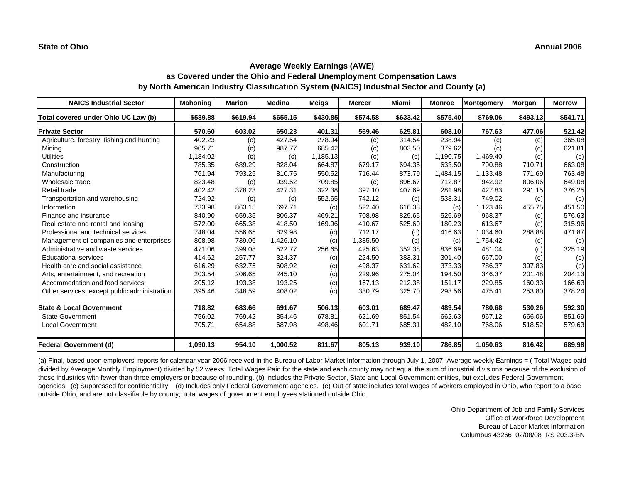| <b>NAICS Industrial Sector</b>               | <b>Mahoning</b> | <b>Marion</b> | Medina   | <b>Meigs</b> | <b>Mercer</b> | <b>Miami</b> | <b>Monroe</b> | Montgomery | Morgan   | <b>Morrow</b> |
|----------------------------------------------|-----------------|---------------|----------|--------------|---------------|--------------|---------------|------------|----------|---------------|
| Total covered under Ohio UC Law (b)          | \$589.88        | \$619.94      | \$655.15 | \$430.85     | \$574.58      | \$633.42     | \$575.40      | \$769.06   | \$493.13 | \$541.71      |
| <b>Private Sector</b>                        | 570.60          | 603.02        | 650.23   | 401.31       | 569.46        | 625.81       | 608.10        | 767.63     | 477.06   | 521.42        |
| Agriculture, forestry, fishing and hunting   | 402.23          | (c)           | 427.54   | 278.94       | (c)           | 314.54       | 238.94        | (c)        | (c)      | 365.08        |
| Mining                                       | 905.71          | (c)           | 987.77   | 685.42       | (c)           | 803.50       | 379.62        | (c)        | (c)      | 621.81        |
| <b>Utilities</b>                             | 1,184.02        | (c)           | (c)      | 1,185.13     | (c)           | (c)          | 1,190.75      | 1,469.40   | (c)      | (c)           |
| Construction                                 | 785.35          | 689.29        | 828.04   | 664.87       | 679.17        | 694.35       | 633.50        | 790.88     | 710.71   | 663.08        |
| Manufacturing                                | 761.94          | 793.25        | 810.75   | 550.52       | 716.44        | 873.79       | 1,484.15      | 1,133.48   | 771.69   | 763.48        |
| Wholesale trade                              | 823.48          | (c)           | 939.52   | 709.85       | (c)           | 896.67       | 712.87        | 942.92     | 806.06   | 649.08        |
| Retail trade                                 | 402.42          | 378.23        | 427.31   | 322.38       | 397.10        | 407.69       | 281.98        | 427.83     | 291.15   | 376.25        |
| Transportation and warehousing               | 724.92          | (c)           | (c)      | 552.65       | 742.12        | (c)          | 538.31        | 749.02     | (c)      | (c)           |
| Information                                  | 733.98          | 863.15        | 697.71   | (c)          | 522.40        | 616.38       | (c)           | 1,123.46   | 455.75   | 451.50        |
| Finance and insurance                        | 840.90          | 659.35        | 806.37   | 469.21       | 708.98        | 829.65       | 526.69        | 968.37     | (c)      | 576.63        |
| Real estate and rental and leasing           | 572.00          | 665.38        | 418.50   | 169.96       | 410.67        | 525.60       | 180.23        | 613.67     | (c)      | 315.96        |
| Professional and technical services          | 748.04          | 556.65        | 829.98   | (c)          | 712.17        | (c)          | 416.63        | 1,034.60   | 288.88   | 471.87        |
| Management of companies and enterprises      | 808.98          | 739.06        | 1,426.10 | (c)          | 1,385.50      | (c)          | (c)           | 1,754.42   | (c)      | (c)           |
| Administrative and waste services            | 471.06          | 399.08        | 522.77   | 256.65       | 425.63        | 352.38       | 836.69        | 481.04     | (c)      | 325.19        |
| <b>Educational services</b>                  | 414.62          | 257.77        | 324.37   | (c)          | 224.50        | 383.31       | 301.40        | 667.00     | (c)      | (c)           |
| Health care and social assistance            | 616.29          | 632.75        | 608.92   | (c)          | 498.37        | 631.62       | 373.33        | 786.37     | 397.83   | (c)           |
| Arts, entertainment, and recreation          | 203.54          | 206.65        | 245.10   | (c)          | 229.96        | 275.04       | 194.50        | 346.37     | 201.48   | 204.13        |
| Accommodation and food services              | 205.12          | 193.38        | 193.25   | (c)          | 167.13        | 212.38       | 151.17        | 229.85     | 160.33   | 166.63        |
| Other services, except public administration | 395.46          | 348.59        | 408.02   | (c)          | 330.79        | 325.70       | 293.56        | 475.41     | 253.80   | 378.24        |
| <b>State &amp; Local Government</b>          | 718.82          | 683.66        | 691.67   | 506.13       | 603.01        | 689.47       | 489.54        | 780.68     | 530.26   | 592.30        |
| <b>State Government</b>                      | 756.02          | 769.42        | 854.46   | 678.81       | 621.69        | 851.54       | 662.63        | 967.12     | 666.06   | 851.69        |
| <b>Local Government</b>                      | 705.71          | 654.88        | 687.98   | 498.46       | 601.71        | 685.31       | 482.10        | 768.06     | 518.52   | 579.63        |
| <b>Federal Government (d)</b>                | 1,090.13        | 954.10        | 1,000.52 | 811.67       | 805.13        | 939.10       | 786.85        | 1,050.63   | 816.42   | 689.98        |

(a) Final, based upon employers' reports for calendar year 2006 received in the Bureau of Labor Market Information through July 1, 2007. Average weekly Earnings = ( Total Wages paid divided by Average Monthly Employment) divided by 52 weeks. Total Wages Paid for the state and each county may not equal the sum of industrial divisions because of the exclusion of those industries with fewer than three employers or because of rounding. (b) Includes the Private Sector, State and Local Government entities, but excludes Federal Government agencies. (c) Suppressed for confidentiality. (d) Includes only Federal Government agencies. (e) Out of state includes total wages of workers employed in Ohio, who report to a base outside Ohio, and are not classifiable by county; total wages of government employees stationed outside Ohio.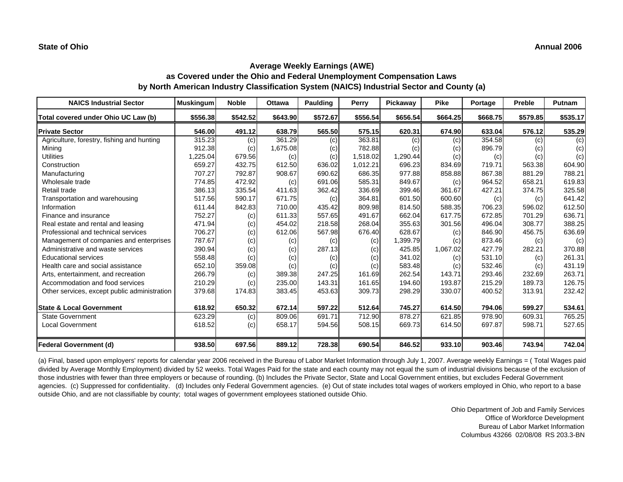| <b>NAICS Industrial Sector</b>               | <b>Muskingum</b> | <b>Noble</b> | <b>Ottawa</b> | Paulding | Perry    | Pickaway | <b>Pike</b> | Portage  | Preble   | Putnam   |
|----------------------------------------------|------------------|--------------|---------------|----------|----------|----------|-------------|----------|----------|----------|
| Total covered under Ohio UC Law (b)          | \$556.38         | \$542.52     | \$643.90      | \$572.67 | \$556.54 | \$656.54 | \$664.25    | \$668.75 | \$579.85 | \$535.17 |
| <b>Private Sector</b>                        | 546.00           | 491.12       | 638.79        | 565.50   | 575.15   | 620.31   | 674.90      | 633.04   | 576.12   | 535.29   |
| Agriculture, forestry, fishing and hunting   | 315.23           | (c)          | 361.29        | (c)      | 363.81   | (c)      | (c)         | 354.58   | (c)      | (c)      |
| Mining                                       | 912.38           | (c)          | 1,675.08      | (c)      | 782.88   | (c)      | (c)         | 896.79   | (c)      | (c)      |
| <b>Utilities</b>                             | 1,225.04         | 679.56       | (c)           | (c)      | 1,518.02 | 1,290.44 | (c)         | (c)      | (c)      | (c)      |
| Construction                                 | 659.27           | 432.75       | 612.50        | 636.02   | 1,012.21 | 696.23   | 834.69      | 719.71   | 563.38   | 604.90   |
| Manufacturing                                | 707.27           | 792.87       | 908.67        | 690.62   | 686.35   | 977.88   | 858.88      | 867.38   | 881.29   | 788.21   |
| Wholesale trade                              | 774.85           | 472.92       | (c)           | 691.06   | 585.31   | 849.67   | (c)         | 964.52   | 658.21   | 619.83   |
| Retail trade                                 | 386.13           | 335.54       | 411.63        | 362.42   | 336.69   | 399.46   | 361.67      | 427.21   | 374.75   | 325.58   |
| Transportation and warehousing               | 517.56           | 590.17       | 671.75        | (c)      | 364.81   | 601.50   | 600.60      | (c)      | (c)      | 641.42   |
| Information                                  | 611.44           | 842.83       | 710.00        | 435.42   | 809.98   | 814.50   | 588.35      | 706.23   | 596.02   | 612.50   |
| Finance and insurance                        | 752.27           | (c)          | 611.33        | 557.65   | 491.67   | 662.04   | 617.75      | 672.85   | 701.29   | 636.71   |
| Real estate and rental and leasing           | 471.94           | (c)          | 454.02        | 218.58   | 268.04   | 355.63   | 301.56      | 496.04   | 308.77   | 388.25   |
| Professional and technical services          | 706.27           | (c)          | 612.06        | 567.98   | 676.40   | 628.67   | (c)         | 846.90   | 456.75   | 636.69   |
| Management of companies and enterprises      | 787.67           | (c)          | (c)           | (c)      | (c)      | 1,399.79 | (c)         | 873.46   | (c)      | (c)      |
| Administrative and waste services            | 390.94           | (c)          | (c)           | 287.13   | (c)      | 425.85   | 1,067.02    | 427.79   | 282.21   | 370.88   |
| <b>Educational services</b>                  | 558.48           | (c)          | (c)           | (c)      | (c)      | 341.02   | (c)         | 531.10   | (c)      | 261.31   |
| Health care and social assistance            | 652.10           | 359.08       | (c)           | (c)      | (c)      | 583.48   | (c)         | 532.46   | (c)      | 431.19   |
| Arts, entertainment, and recreation          | 266.79           | (c)          | 389.38        | 247.25   | 161.69   | 262.54   | 143.71      | 293.46   | 232.69   | 263.71   |
| Accommodation and food services              | 210.29           | (c)          | 235.00        | 143.31   | 161.65   | 194.60   | 193.87      | 215.29   | 189.73   | 126.75   |
| Other services, except public administration | 379.68           | 174.83       | 383.45        | 453.63   | 309.73   | 298.29   | 330.07      | 400.52   | 313.91   | 232.42   |
| <b>State &amp; Local Government</b>          | 618.92           | 650.32       | 672.14        | 597.22   | 512.64   | 745.27   | 614.50      | 794.06   | 599.27   | 534.61   |
| <b>State Government</b>                      | 623.29           | (c)          | 809.06        | 691.71   | 712.90   | 878.27   | 621.85      | 978.90   | 609.31   | 765.25   |
| <b>Local Government</b>                      | 618.52           | (c)          | 658.17        | 594.56   | 508.15   | 669.73   | 614.50      | 697.87   | 598.71   | 527.65   |
| <b>Federal Government (d)</b>                | 938.50           | 697.56       | 889.12        | 728.38   | 690.54   | 846.52   | 933.10      | 903.46   | 743.94   | 742.04   |

(a) Final, based upon employers' reports for calendar year 2006 received in the Bureau of Labor Market Information through July 1, 2007. Average weekly Earnings = ( Total Wages paid divided by Average Monthly Employment) divided by 52 weeks. Total Wages Paid for the state and each county may not equal the sum of industrial divisions because of the exclusion of those industries with fewer than three employers or because of rounding. (b) Includes the Private Sector, State and Local Government entities, but excludes Federal Government agencies. (c) Suppressed for confidentiality. (d) Includes only Federal Government agencies. (e) Out of state includes total wages of workers employed in Ohio, who report to a base outside Ohio, and are not classifiable by county; total wages of government employees stationed outside Ohio.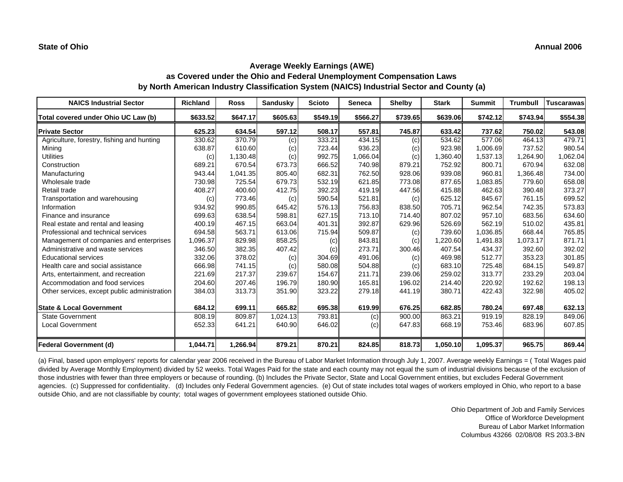| <b>NAICS Industrial Sector</b>               | <b>Richland</b> | <b>Ross</b> | <b>Sandusky</b> | <b>Scioto</b> | Seneca   | <b>Shelby</b> | <b>Stark</b> | <b>Summit</b> | Trumbull | <b>Tuscarawas</b> |
|----------------------------------------------|-----------------|-------------|-----------------|---------------|----------|---------------|--------------|---------------|----------|-------------------|
| Total covered under Ohio UC Law (b)          | \$633.52        | \$647.17    | \$605.63        | \$549.19      | \$566.27 | \$739.65      | \$639.06     | \$742.12      | \$743.94 | \$554.38          |
| <b>Private Sector</b>                        | 625.23          | 634.54      | 597.12          | 508.17        | 557.81   | 745.87        | 633.42       | 737.62        | 750.02   | 543.08            |
| Agriculture, forestry, fishing and hunting   | 330.62          | 370.79      | (c)             | 333.21        | 434.15   | (c)           | 534.62       | 577.06        | 464.13   | 479.71            |
| Mining                                       | 638.87          | 610.60      | (c)             | 723.44        | 936.23   | (c)           | 923.98       | 1,006.69      | 737.52   | 980.54            |
| <b>Utilities</b>                             | (c)             | 1,130.48    | (c)             | 992.75        | 1,066.04 | (c)           | 1,360.40     | 1,537.13      | 1,264.90 | 1,062.04          |
| Construction                                 | 689.21          | 670.54      | 673.73          | 666.52        | 740.98   | 879.21        | 752.92       | 800.71        | 670.94   | 632.08            |
| Manufacturing                                | 943.44          | 1.041.35    | 805.40          | 682.31        | 762.50   | 928.06        | 939.08       | 960.81        | 1.366.48 | 734.00            |
| Wholesale trade                              | 730.98          | 725.54      | 679.73          | 532.19        | 621.85   | 773.08        | 877.65       | 1,083.85      | 779.60   | 658.08            |
| Retail trade                                 | 408.27          | 400.60      | 412.75          | 392.23        | 419.19   | 447.56        | 415.88       | 462.63        | 390.48   | 373.27            |
| Transportation and warehousing               | (c)             | 773.46      | (c)             | 590.54        | 521.81   | (c)           | 625.12       | 845.67        | 761.15   | 699.52            |
| Information                                  | 934.92          | 990.85      | 645.42          | 576.13        | 756.83   | 838.50        | 705.71       | 962.54        | 742.35   | 573.83            |
| Finance and insurance                        | 699.63          | 638.54      | 598.81          | 627.15        | 713.10   | 714.40        | 807.02       | 957.10        | 683.56   | 634.60            |
| Real estate and rental and leasing           | 400.19          | 467.15      | 663.04          | 401.31        | 392.87   | 629.96        | 526.69       | 562.19        | 510.02   | 435.81            |
| Professional and technical services          | 694.58          | 563.71      | 613.06          | 715.94        | 509.87   | (c)           | 739.60       | 1,036.85      | 668.44   | 765.85            |
| Management of companies and enterprises      | 1,096.37        | 829.98      | 858.25          | (c)           | 843.81   | (c)           | 1,220.60     | 1.491.83      | 1,073.17 | 871.71            |
| Administrative and waste services            | 346.50          | 382.35      | 407.42          | (c)           | 273.71   | 300.46        | 407.54       | 434.37        | 392.60   | 392.02            |
| <b>Educational services</b>                  | 332.06          | 378.02      | (c)             | 304.69        | 491.06   | (c)           | 469.98       | 512.77        | 353.23   | 301.85            |
| Health care and social assistance            | 666.98          | 741.15      | (c)             | 580.08        | 504.88   | (c)           | 683.10       | 725.48        | 684.15   | 549.87            |
| Arts, entertainment, and recreation          | 221.69          | 217.37      | 239.67          | 154.67        | 211.71   | 239.06        | 259.02       | 313.77        | 233.29   | 203.04            |
| Accommodation and food services              | 204.60          | 207.46      | 196.79          | 180.90        | 165.81   | 196.02        | 214.40       | 220.92        | 192.62   | 198.13            |
| Other services, except public administration | 384.03          | 313.73      | 351.90          | 323.22        | 279.18   | 441.19        | 380.71       | 422.43        | 322.98   | 405.02            |
| <b>State &amp; Local Government</b>          | 684.12          | 699.11      | 665.82          | 695.38        | 619.99   | 676.25        | 682.85       | 780.24        | 697.48   | 632.13            |
| State Government                             | 808.19          | 809.87      | 1.024.13        | 793.81        | (c)      | 900.00        | 863.21       | 919.19        | 828.19   | 849.06            |
| <b>Local Government</b>                      | 652.33          | 641.21      | 640.90          | 646.02        | (c)      | 647.83        | 668.19       | 753.46        | 683.96   | 607.85            |
| <b>Federal Government (d)</b>                | 1,044.71        | 1,266.94    | 879.21          | 870.21        | 824.85   | 818.73        | 1,050.10     | 1,095.37      | 965.75   | 869.44            |

(a) Final, based upon employers' reports for calendar year 2006 received in the Bureau of Labor Market Information through July 1, 2007. Average weekly Earnings = ( Total Wages paid divided by Average Monthly Employment) divided by 52 weeks. Total Wages Paid for the state and each county may not equal the sum of industrial divisions because of the exclusion of those industries with fewer than three employers or because of rounding. (b) Includes the Private Sector, State and Local Government entities, but excludes Federal Government agencies. (c) Suppressed for confidentiality. (d) Includes only Federal Government agencies. (e) Out of state includes total wages of workers employed in Ohio, who report to a base outside Ohio, and are not classifiable by county; total wages of government employees stationed outside Ohio.